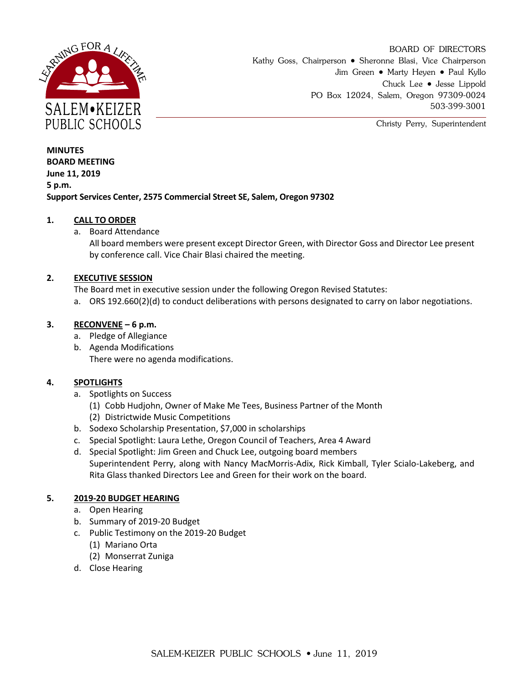

BOARD OF DIRECTORS Kathy Goss, Chairperson • Sheronne Blasi, Vice Chairperson Jim Green • Marty Heyen • Paul Kyllo Chuck Lee • Jesse Lippold PO Box 12024, Salem, Oregon 97309-0024 503-399-3001

Christy Perry, Superintendent

**MINUTES BOARD MEETING June 11, 2019 5 p.m. Support Services Center, 2575 Commercial Street SE, Salem, Oregon 97302**

# **1. CALL TO ORDER**

a. Board Attendance

All board members were present except Director Green, with Director Goss and Director Lee present by conference call. Vice Chair Blasi chaired the meeting.

## **2. EXECUTIVE SESSION**

The Board met in executive session under the following Oregon Revised Statutes:

a. ORS 192.660(2)(d) to conduct deliberations with persons designated to carry on labor negotiations.

## **3. RECONVENE – 6 p.m.**

- a. Pledge of Allegiance
- b. Agenda Modifications There were no agenda modifications.

# **4. SPOTLIGHTS**

- a. Spotlights on Success
	- (1) Cobb Hudjohn, Owner of Make Me Tees, Business Partner of the Month
	- (2) Districtwide Music Competitions
- b. Sodexo Scholarship Presentation, \$7,000 in scholarships
- c. Special Spotlight: Laura Lethe, Oregon Council of Teachers, Area 4 Award
- d. Special Spotlight: Jim Green and Chuck Lee, outgoing board members Superintendent Perry, along with Nancy MacMorris-Adix, Rick Kimball, Tyler Scialo-Lakeberg, and Rita Glass thanked Directors Lee and Green for their work on the board.

#### **5. 2019-20 BUDGET HEARING**

- a. Open Hearing
- b. Summary of 2019-20 Budget
- c. Public Testimony on the 2019-20 Budget
	- (1) Mariano Orta
	- (2) Monserrat Zuniga
- d. Close Hearing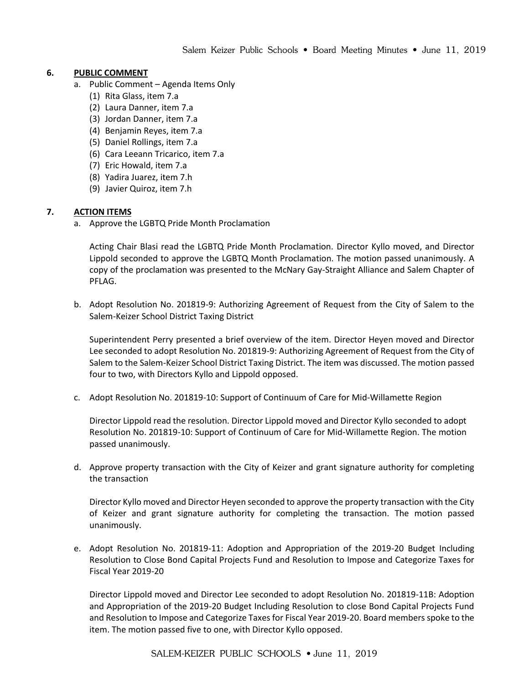# **6. PUBLIC COMMENT**

- a. Public Comment Agenda Items Only
	- (1) Rita Glass, item 7.a
	- (2) Laura Danner, item 7.a
	- (3) Jordan Danner, item 7.a
	- (4) Benjamin Reyes, item 7.a
	- (5) Daniel Rollings, item 7.a
	- (6) Cara Leeann Tricarico, item 7.a
	- (7) Eric Howald, item 7.a
	- (8) Yadira Juarez, item 7.h
	- (9) Javier Quiroz, item 7.h

# **7. ACTION ITEMS**

a. Approve the LGBTQ Pride Month Proclamation

Acting Chair Blasi read the LGBTQ Pride Month Proclamation. Director Kyllo moved, and Director Lippold seconded to approve the LGBTQ Month Proclamation. The motion passed unanimously. A copy of the proclamation was presented to the McNary Gay-Straight Alliance and Salem Chapter of PFLAG.

b. Adopt Resolution No. 201819-9: Authorizing Agreement of Request from the City of Salem to the Salem-Keizer School District Taxing District

Superintendent Perry presented a brief overview of the item. Director Heyen moved and Director Lee seconded to adopt Resolution No. 201819-9: Authorizing Agreement of Request from the City of Salem to the Salem-Keizer School District Taxing District. The item was discussed. The motion passed four to two, with Directors Kyllo and Lippold opposed.

c. Adopt Resolution No. 201819-10: Support of Continuum of Care for Mid-Willamette Region

Director Lippold read the resolution. Director Lippold moved and Director Kyllo seconded to adopt Resolution No. 201819-10: Support of Continuum of Care for Mid-Willamette Region. The motion passed unanimously.

d. Approve property transaction with the City of Keizer and grant signature authority for completing the transaction

Director Kyllo moved and Director Heyen seconded to approve the property transaction with the City of Keizer and grant signature authority for completing the transaction. The motion passed unanimously.

e. Adopt Resolution No. 201819-11: Adoption and Appropriation of the 2019-20 Budget Including Resolution to Close Bond Capital Projects Fund and Resolution to Impose and Categorize Taxes for Fiscal Year 2019-20

Director Lippold moved and Director Lee seconded to adopt Resolution No. 201819-11B: Adoption and Appropriation of the 2019-20 Budget Including Resolution to close Bond Capital Projects Fund and Resolution to Impose and Categorize Taxes for Fiscal Year 2019-20. Board members spoke to the item. The motion passed five to one, with Director Kyllo opposed.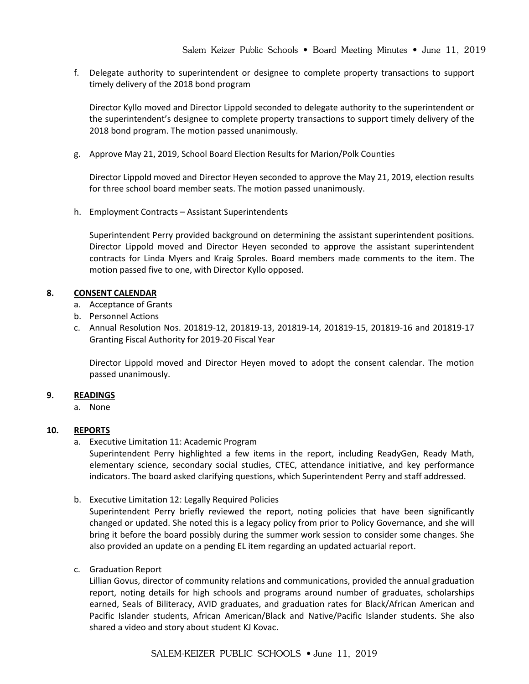f. Delegate authority to superintendent or designee to complete property transactions to support timely delivery of the 2018 bond program

Director Kyllo moved and Director Lippold seconded to delegate authority to the superintendent or the superintendent's designee to complete property transactions to support timely delivery of the 2018 bond program. The motion passed unanimously.

g. Approve May 21, 2019, School Board Election Results for Marion/Polk Counties

Director Lippold moved and Director Heyen seconded to approve the May 21, 2019, election results for three school board member seats. The motion passed unanimously.

h. Employment Contracts – Assistant Superintendents

Superintendent Perry provided background on determining the assistant superintendent positions. Director Lippold moved and Director Heyen seconded to approve the assistant superintendent contracts for Linda Myers and Kraig Sproles. Board members made comments to the item. The motion passed five to one, with Director Kyllo opposed.

## **8. CONSENT CALENDAR**

- a. Acceptance of Grants
- b. Personnel Actions
- c. Annual Resolution Nos. 201819-12, 201819-13, 201819-14, 201819-15, 201819-16 and 201819-17 Granting Fiscal Authority for 2019-20 Fiscal Year

Director Lippold moved and Director Heyen moved to adopt the consent calendar. The motion passed unanimously.

#### **9. READINGS**

a. None

#### **10. REPORTS**

a. Executive Limitation 11: Academic Program

Superintendent Perry highlighted a few items in the report, including ReadyGen, Ready Math, elementary science, secondary social studies, CTEC, attendance initiative, and key performance indicators. The board asked clarifying questions, which Superintendent Perry and staff addressed.

b. Executive Limitation 12: Legally Required Policies

Superintendent Perry briefly reviewed the report, noting policies that have been significantly changed or updated. She noted this is a legacy policy from prior to Policy Governance, and she will bring it before the board possibly during the summer work session to consider some changes. She also provided an update on a pending EL item regarding an updated actuarial report.

c. Graduation Report

Lillian Govus, director of community relations and communications, provided the annual graduation report, noting details for high schools and programs around number of graduates, scholarships earned, Seals of Biliteracy, AVID graduates, and graduation rates for Black/African American and Pacific Islander students, African American/Black and Native/Pacific Islander students. She also shared a video and story about student KJ Kovac.